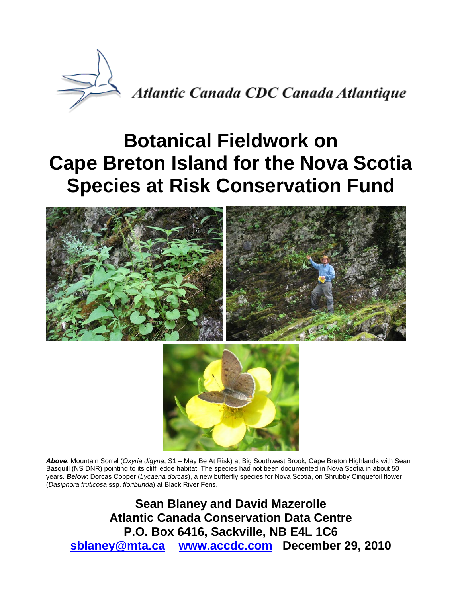

# **Botanical Fieldwork on Cape Breton Island for the Nova Scotia Species at Risk Conservation Fund**





*Above*: Mountain Sorrel (*Oxyria digyna*, S1 – May Be At Risk) at Big Southwest Brook, Cape Breton Highlands with Sean Basquill (NS DNR) pointing to its cliff ledge habitat. The species had not been documented in Nova Scotia in about 50 years. *Below*: Dorcas Copper (*Lycaena dorcas*), a new butterfly species for Nova Scotia, on Shrubby Cinquefoil flower (*Dasiphora fruticosa* ssp. *floribunda*) at Black River Fens.

**Sean Blaney and David Mazerolle Atlantic Canada Conservation Data Centre P.O. Box 6416, Sackville, NB E4L 1C6 [sblaney@mta.ca](mailto:sblaney@mta.ca) [www.accdc.com](http://www.accdc.com/) December 29, 2010**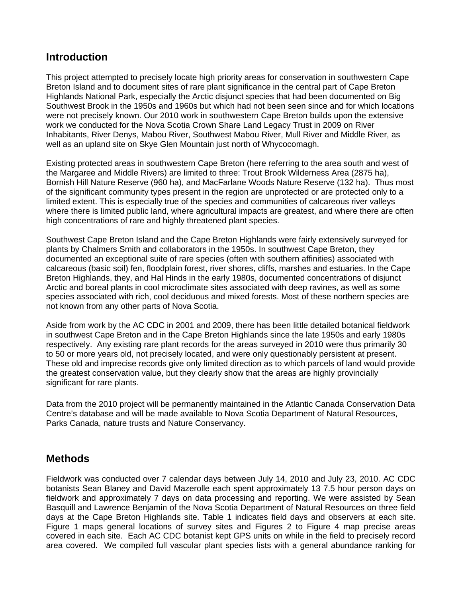## **Introduction**

This project attempted to precisely locate high priority areas for conservation in southwestern Cape Breton Island and to document sites of rare plant significance in the central part of Cape Breton Highlands National Park, especially the Arctic disjunct species that had been documented on Big Southwest Brook in the 1950s and 1960s but which had not been seen since and for which locations were not precisely known. Our 2010 work in southwestern Cape Breton builds upon the extensive work we conducted for the Nova Scotia Crown Share Land Legacy Trust in 2009 on River Inhabitants, River Denys, Mabou River, Southwest Mabou River, Mull River and Middle River, as well as an upland site on Skye Glen Mountain just north of Whycocomagh.

Existing protected areas in southwestern Cape Breton (here referring to the area south and west of the Margaree and Middle Rivers) are limited to three: Trout Brook Wilderness Area (2875 ha), Bornish Hill Nature Reserve (960 ha), and MacFarlane Woods Nature Reserve (132 ha). Thus most of the significant community types present in the region are unprotected or are protected only to a limited extent. This is especially true of the species and communities of calcareous river valleys where there is limited public land, where agricultural impacts are greatest, and where there are often high concentrations of rare and highly threatened plant species.

Southwest Cape Breton Island and the Cape Breton Highlands were fairly extensively surveyed for plants by Chalmers Smith and collaborators in the 1950s. In southwest Cape Breton, they documented an exceptional suite of rare species (often with southern affinities) associated with calcareous (basic soil) fen, floodplain forest, river shores, cliffs, marshes and estuaries. In the Cape Breton Highlands, they, and Hal Hinds in the early 1980s, documented concentrations of disjunct Arctic and boreal plants in cool microclimate sites associated with deep ravines, as well as some species associated with rich, cool deciduous and mixed forests. Most of these northern species are not known from any other parts of Nova Scotia.

Aside from work by the AC CDC in 2001 and 2009, there has been little detailed botanical fieldwork in southwest Cape Breton and in the Cape Breton Highlands since the late 1950s and early 1980s respectively. Any existing rare plant records for the areas surveyed in 2010 were thus primarily 30 to 50 or more years old, not precisely located, and were only questionably persistent at present. These old and imprecise records give only limited direction as to which parcels of land would provide the greatest conservation value, but they clearly show that the areas are highly provincially significant for rare plants.

Data from the 2010 project will be permanently maintained in the Atlantic Canada Conservation Data Centre's database and will be made available to Nova Scotia Department of Natural Resources, Parks Canada, nature trusts and Nature Conservancy.

## **Methods**

Fieldwork was conducted over 7 calendar days between July 14, 2010 and July 23, 2010. AC CDC botanists Sean Blaney and David Mazerolle each spent approximately 13 7.5 hour person days on fieldwork and approximately 7 days on data processing and reporting. We were assisted by Sean Basquill and Lawrence Benjamin of the Nova Scotia Department of Natural Resources on three field days at the Cape Breton Highlands site. Table 1 indicates field days and observers at each site. Figure 1 maps general locations of survey sites and Figures 2 to Figure 4 map precise areas covered in each site. Each AC CDC botanist kept GPS units on while in the field to precisely record area covered. We compiled full vascular plant species lists with a general abundance ranking for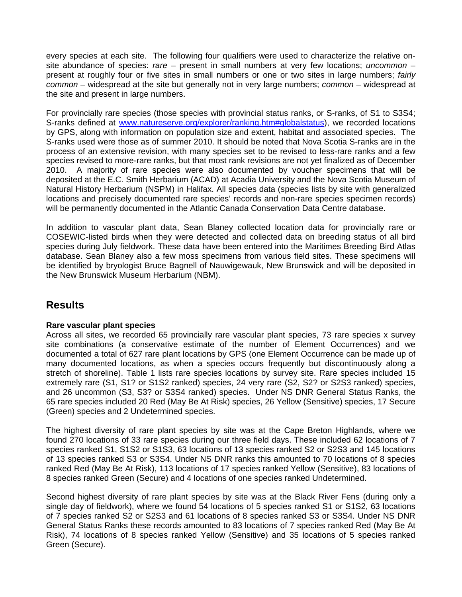every species at each site. The following four qualifiers were used to characterize the relative onsite abundance of species: *rare* – present in small numbers at very few locations; *uncommon* – present at roughly four or five sites in small numbers or one or two sites in large numbers; *fairly common* – widespread at the site but generally not in very large numbers; *common* – widespread at the site and present in large numbers.

For provincially rare species (those species with provincial status ranks, or S-ranks, of S1 to S3S4; S-ranks defined at [www.natureserve.org/explorer/ranking.htm#globalstatus\)](http://www.natureserve.org/explorer/ranking.htm#globalstatus), we recorded locations by GPS, along with information on population size and extent, habitat and associated species. The S-ranks used were those as of summer 2010. It should be noted that Nova Scotia S-ranks are in the process of an extensive revision, with many species set to be revised to less-rare ranks and a few species revised to more-rare ranks, but that most rank revisions are not yet finalized as of December 2010. A majority of rare species were also documented by voucher specimens that will be deposited at the E.C. Smith Herbarium (ACAD) at Acadia University and the Nova Scotia Museum of Natural History Herbarium (NSPM) in Halifax. All species data (species lists by site with generalized locations and precisely documented rare species' records and non-rare species specimen records) will be permanently documented in the Atlantic Canada Conservation Data Centre database.

In addition to vascular plant data, Sean Blaney collected location data for provincially rare or COSEWIC-listed birds when they were detected and collected data on breeding status of all bird species during July fieldwork. These data have been entered into the Maritimes Breeding Bird Atlas database. Sean Blaney also a few moss specimens from various field sites. These specimens will be identified by bryologist Bruce Bagnell of Nauwigewauk, New Brunswick and will be deposited in the New Brunswick Museum Herbarium (NBM).

### **Results**

#### **Rare vascular plant species**

Across all sites, we recorded 65 provincially rare vascular plant species, 73 rare species x survey site combinations (a conservative estimate of the number of Element Occurrences) and we documented a total of 627 rare plant locations by GPS (one Element Occurrence can be made up of many documented locations, as when a species occurs frequently but discontinuously along a stretch of shoreline). Table 1 lists rare species locations by survey site. Rare species included 15 extremely rare (S1, S1? or S1S2 ranked) species, 24 very rare (S2, S2? or S2S3 ranked) species, and 26 uncommon (S3, S3? or S3S4 ranked) species. Under NS DNR General Status Ranks, the 65 rare species included 20 Red (May Be At Risk) species, 26 Yellow (Sensitive) species, 17 Secure (Green) species and 2 Undetermined species.

The highest diversity of rare plant species by site was at the Cape Breton Highlands, where we found 270 locations of 33 rare species during our three field days. These included 62 locations of 7 species ranked S1, S1S2 or S1S3, 63 locations of 13 species ranked S2 or S2S3 and 145 locations of 13 species ranked S3 or S3S4. Under NS DNR ranks this amounted to 70 locations of 8 species ranked Red (May Be At Risk), 113 locations of 17 species ranked Yellow (Sensitive), 83 locations of 8 species ranked Green (Secure) and 4 locations of one species ranked Undetermined.

Second highest diversity of rare plant species by site was at the Black River Fens (during only a single day of fieldwork), where we found 54 locations of 5 species ranked S1 or S1S2, 63 locations of 7 species ranked S2 or S2S3 and 61 locations of 8 species ranked S3 or S3S4. Under NS DNR General Status Ranks these records amounted to 83 locations of 7 species ranked Red (May Be At Risk), 74 locations of 8 species ranked Yellow (Sensitive) and 35 locations of 5 species ranked Green (Secure).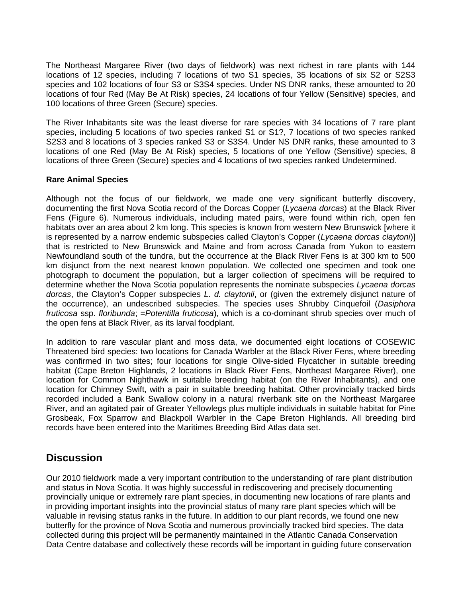The Northeast Margaree River (two days of fieldwork) was next richest in rare plants with 144 locations of 12 species, including 7 locations of two S1 species, 35 locations of six S2 or S2S3 species and 102 locations of four S3 or S3S4 species. Under NS DNR ranks, these amounted to 20 locations of four Red (May Be At Risk) species, 24 locations of four Yellow (Sensitive) species, and 100 locations of three Green (Secure) species.

The River Inhabitants site was the least diverse for rare species with 34 locations of 7 rare plant species, including 5 locations of two species ranked S1 or S1?, 7 locations of two species ranked S2S3 and 8 locations of 3 species ranked S3 or S3S4. Under NS DNR ranks, these amounted to 3 locations of one Red (May Be At Risk) species, 5 locations of one Yellow (Sensitive) species, 8 locations of three Green (Secure) species and 4 locations of two species ranked Undetermined.

#### **Rare Animal Species**

Although not the focus of our fieldwork, we made one very significant butterfly discovery, documenting the first Nova Scotia record of the Dorcas Copper (*Lycaena dorcas*) at the Black River Fens (Figure 6). Numerous individuals, including mated pairs, were found within rich, open fen habitats over an area about 2 km long. This species is known from western New Brunswick [where it is represented by a narrow endemic subspecies called Clayton's Copper (*Lycaena dorcas claytoni*)] that is restricted to New Brunswick and Maine and from across Canada from Yukon to eastern Newfoundland south of the tundra, but the occurrence at the Black River Fens is at 300 km to 500 km disjunct from the next nearest known population. We collected one specimen and took one photograph to document the population, but a larger collection of specimens will be required to determine whether the Nova Scotia population represents the nominate subspecies *Lycaena dorcas dorcas*, the Clayton's Copper subspecies *L. d. claytonii*, or (given the extremely disjunct nature of the occurrence), an undescribed subspecies. The species uses Shrubby Cinquefoil (*Dasiphora fruticosa* ssp. *floribunda*; =*Potentilla fruticosa*), which is a co-dominant shrub species over much of the open fens at Black River, as its larval foodplant.

In addition to rare vascular plant and moss data, we documented eight locations of COSEWIC Threatened bird species: two locations for Canada Warbler at the Black River Fens, where breeding was confirmed in two sites; four locations for single Olive-sided Flycatcher in suitable breeding habitat (Cape Breton Highlands, 2 locations in Black River Fens, Northeast Margaree River), one location for Common Nighthawk in suitable breeding habitat (on the River Inhabitants), and one location for Chimney Swift, with a pair in suitable breeding habitat. Other provincially tracked birds recorded included a Bank Swallow colony in a natural riverbank site on the Northeast Margaree River, and an agitated pair of Greater Yellowlegs plus multiple individuals in suitable habitat for Pine Grosbeak, Fox Sparrow and Blackpoll Warbler in the Cape Breton Highlands. All breeding bird records have been entered into the Maritimes Breeding Bird Atlas data set.

### **Discussion**

Our 2010 fieldwork made a very important contribution to the understanding of rare plant distribution and status in Nova Scotia. It was highly successful in rediscovering and precisely documenting provincially unique or extremely rare plant species, in documenting new locations of rare plants and in providing important insights into the provincial status of many rare plant species which will be valuable in revising status ranks in the future. In addition to our plant records, we found one new butterfly for the province of Nova Scotia and numerous provincially tracked bird species. The data collected during this project will be permanently maintained in the Atlantic Canada Conservation Data Centre database and collectively these records will be important in guiding future conservation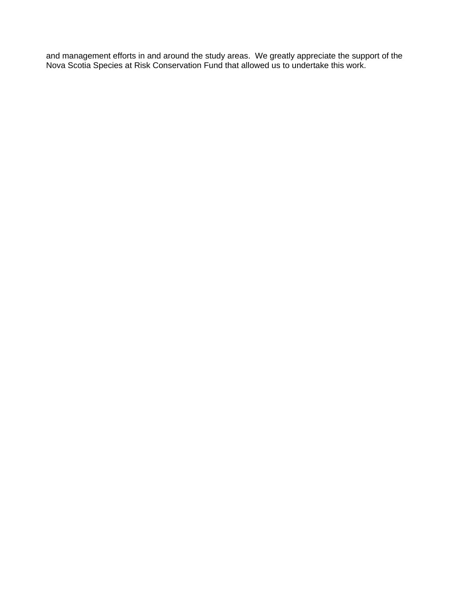and management efforts in and around the study areas. We greatly appreciate the support of the Nova Scotia Species at Risk Conservation Fund that allowed us to undertake this work.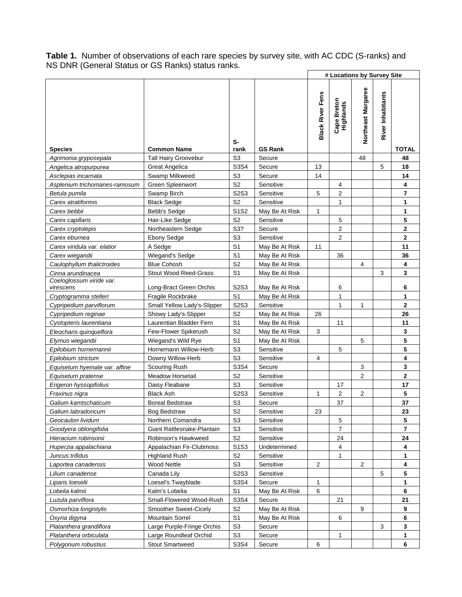**Table 1.** Number of observations of each rare species by survey site, with AC CDC (S-ranks) and NS DNR (General Status or GS Ranks) status ranks.

|                                       |                              |                               |                |                         | # Locations by Survey Site |                    |                   |                |
|---------------------------------------|------------------------------|-------------------------------|----------------|-------------------------|----------------------------|--------------------|-------------------|----------------|
|                                       |                              | S-                            |                | <b>Black River Fens</b> | Cape Breton<br>Highlands   | Northeast Margaree | River Inhabitants |                |
| <b>Species</b>                        | <b>Common Name</b>           | rank                          | <b>GS Rank</b> |                         |                            |                    |                   | TOTAL          |
| Agrimonia gryposepala                 | Tall Hairy Groovebur         | S <sub>3</sub>                | Secure         |                         |                            | 48                 |                   | 48             |
| Angelica atropurpurea                 | Great Angelica               | S3S4                          | Secure         | 13                      |                            |                    | 5                 | 18             |
| Asclepias incarnata                   | Swamp Milkweed               | S <sub>3</sub>                | Secure         | 14                      |                            |                    |                   | 14             |
| Asplenium trichomanes-ramosum         | Green Spleenwort             | S <sub>2</sub>                | Sensitive      |                         | 4                          |                    |                   | 4              |
| Betula pumila                         | Swamp Birch                  | <b>S2S3</b>                   | Sensitive      | 5                       | 2                          |                    |                   | 7              |
| Carex atratiformis                    | <b>Black Sedge</b>           | S <sub>2</sub>                | Sensitive      |                         | 1                          |                    |                   | 1              |
| Carex bebbii                          | Bebb's Sedge                 | S1S2                          | May Be At Risk | $\mathbf{1}$            |                            |                    |                   | 1              |
| Carex capillaris                      | Hair-Like Sedge              | S <sub>2</sub>                | Sensitive      |                         | 5                          |                    |                   | 5              |
| Carex cryptolepis                     | Northeastern Sedge           | S3?                           | Secure         |                         | $\overline{2}$             |                    |                   | $\mathbf 2$    |
| Carex eburnea                         | <b>Ebony Sedge</b>           | S <sub>3</sub>                | Sensitive      |                         | 2                          |                    |                   | $\overline{2}$ |
| Carex viridula var. elatior           | A Sedge                      | S <sub>1</sub>                | May Be At Risk | 11                      |                            |                    |                   | 11             |
| Carex wiegandii                       | Wiegand's Sedge              | S <sub>1</sub>                | May Be At Risk |                         | 36                         |                    |                   | 36             |
| Caulophyllum thalictroides            | <b>Blue Cohosh</b>           | S <sub>2</sub>                | May Be At Risk |                         |                            | 4                  |                   | 4              |
| Cinna arundinacea                     | <b>Stout Wood Reed-Grass</b> | S <sub>1</sub>                | May Be At Risk |                         |                            |                    | 3                 | 3              |
| Coeloglossum viride var.<br>virescens | Long-Bract Green Orchis      | S <sub>2</sub> S <sub>3</sub> | May Be At Risk |                         | 6                          |                    |                   | 6              |
| Cryptogramma stelleri                 | Fragile Rockbrake            | S <sub>1</sub>                | May Be At Risk |                         | 1                          |                    |                   | 1              |
| Cypripedium parviflorum               | Small Yellow Lady's-Slipper  | S2S3                          | Sensitive      |                         | $\mathbf{1}$               | 1                  |                   | $\mathbf 2$    |
| Cypripedium reginae                   | Showy Lady's-Slipper         | S <sub>2</sub>                | May Be At Risk | 26                      |                            |                    |                   | 26             |
| Cystopteris laurentiana               | Laurentian Bladder Fern      | S <sub>1</sub>                | May Be At Risk |                         | 11                         |                    |                   | 11             |
| Eleocharis quinqueflora               | Few-Flower Spikerush         | S <sub>2</sub>                | May Be At Risk | 3                       |                            |                    |                   | 3              |
| Elymus wiegandii                      | Wiegand's Wild Rye           | S <sub>1</sub>                | May Be At Risk |                         |                            | 5                  |                   | 5              |
| Epilobium hornemannii                 | Hornemann Willow-Herb        | S <sub>3</sub>                | Sensitive      |                         | 5                          |                    |                   | 5              |
| Epilobium strictum                    | Downy Willow-Herb            | S <sub>3</sub>                | Sensitive      | 4                       |                            |                    |                   | 4              |
| Equisetum hyemale var. affine         | Scouring Rush                | S3S4                          | Secure         |                         |                            | 3                  |                   | 3              |
| Equisetum pratense                    | Meadow Horsetail             | S <sub>2</sub>                | Sensitive      |                         |                            | 2                  |                   | $\mathbf{2}$   |
| Erigeron hyssopifolius                | Daisy Fleabane               | S <sub>3</sub>                | Sensitive      |                         | 17                         |                    |                   | 17             |
| Fraxinus nigra                        | <b>Black Ash</b>             | S <sub>2</sub> S <sub>3</sub> | Sensitive      | 1                       | $\overline{2}$             | 2                  |                   | 5              |
| Galium kamtschaticum                  | <b>Boreal Bedstraw</b>       | S <sub>3</sub>                | Secure         |                         | 37                         |                    |                   | 37             |
| Galium labradoricum                   | Bog Bedstraw                 | S <sub>2</sub>                | Sensitive      | 23                      |                            |                    |                   | 23             |
| Geocaulon lividum                     | Northern Comandra            | S <sub>3</sub>                | Sensitive      |                         | 5                          |                    |                   | 5              |
| Goodyera oblongifolia                 | Giant Rattlesnake-Plantain   | S <sub>3</sub>                | Sensitive      |                         | 7                          |                    |                   | 7              |
| Hieracium robinsonii                  | Robinson's Hawkweed          | S <sub>2</sub>                | Sensitive      |                         | 24                         |                    |                   | 24             |
| Huperzia appalachiana                 | Appalachian Fir-Clubmoss     | S <sub>1</sub> S <sub>3</sub> | Undetermined   |                         | 4                          |                    |                   | 4              |
| Juncus trifidus                       | <b>Highland Rush</b>         | S <sub>2</sub>                | Sensitive      |                         | 1                          |                    |                   | 1              |
| Laportea canadensis                   | Wood Nettle                  | S <sub>3</sub>                | Sensitive      | $\overline{2}$          |                            | 2                  |                   | 4              |
| Lilium canadense                      | Canada Lily                  | S2S3                          | Sensitive      |                         |                            |                    | 5                 | 5              |
| Liparis loeselii                      | Loesel's Twayblade           | S3S4                          | Secure         | 1                       |                            |                    |                   | 1              |
| Lobelia kalmii                        | Kalm's Lobelia               | S <sub>1</sub>                | May Be At Risk | 6                       |                            |                    |                   | 6              |
| Luzula parviflora                     | Small-Flowered Wood-Rush     | S3S4                          | Secure         |                         | 21                         |                    |                   | 21             |
| Osmorhiza longistylis                 | Smoother Sweet-Cicely        | S <sub>2</sub>                | May Be At Risk |                         |                            | 9                  |                   | 9              |
| Oxyria digyna                         | <b>Mountain Sorrel</b>       | S <sub>1</sub>                | May Be At Risk |                         | 6                          |                    |                   | 6              |
| Platanthera grandiflora               | Large Purple-Fringe Orchis   | S <sub>3</sub>                | Secure         |                         |                            |                    | 3                 | 3              |
| Platanthera orbiculata                | Large Roundleaf Orchid       | S <sub>3</sub>                | Secure         |                         | 1                          |                    |                   | 1              |
| Polygonum robustius                   | <b>Stout Smartweed</b>       | S3S4                          | Secure         | 6                       |                            |                    |                   | 6              |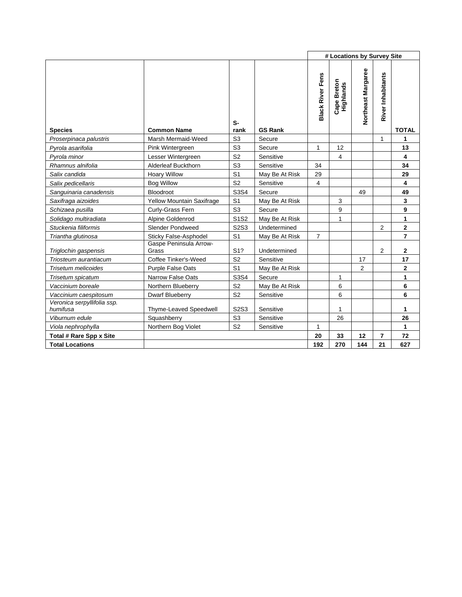|                                         |                                 |                               |                |                         | # Locations by Survey Site |                    |                   |                |
|-----------------------------------------|---------------------------------|-------------------------------|----------------|-------------------------|----------------------------|--------------------|-------------------|----------------|
| <b>Species</b>                          | <b>Common Name</b>              | S-<br>rank                    | <b>GS Rank</b> | <b>Black River Fens</b> | Cape Breton<br>Highlands   | Northeast Margaree | River Inhabitants | <b>TOTAL</b>   |
| Proserpinaca palustris                  | Marsh Mermaid-Weed              | S <sub>3</sub>                | Secure         |                         |                            |                    | 1                 | 1              |
| Pyrola asarifolia                       | Pink Wintergreen                | S <sub>3</sub>                | Secure         | 1                       | 12                         |                    |                   | 13             |
| Pyrola minor                            | Lesser Wintergreen              | S <sub>2</sub>                | Sensitive      |                         | $\overline{4}$             |                    |                   | 4              |
| Rhamnus alnifolia                       | Alderleaf Buckthorn             | S <sub>3</sub>                | Sensitive      | 34                      |                            |                    |                   | 34             |
| Salix candida                           | <b>Hoary Willow</b>             | S <sub>1</sub>                | May Be At Risk | 29                      |                            |                    |                   | 29             |
| Salix pedicellaris                      | <b>Bog Willow</b>               | S <sub>2</sub>                | Sensitive      | $\overline{4}$          |                            |                    |                   | 4              |
| Sanguinaria canadensis                  | <b>Bloodroot</b>                | S3S4                          | Secure         |                         |                            | 49                 |                   | 49             |
| Saxifraga aizoides                      | Yellow Mountain Saxifrage       | S <sub>1</sub>                | May Be At Risk |                         | 3                          |                    |                   | 3              |
| Schizaea pusilla                        | Curly-Grass Fern                | S <sub>3</sub>                | Secure         |                         | 9                          |                    |                   | 9              |
| Solidago multiradiata                   | Alpine Goldenrod                | S <sub>1</sub> S <sub>2</sub> | May Be At Risk |                         | $\mathbf{1}$               |                    |                   | 1              |
| Stuckenia filiformis                    | <b>Slender Pondweed</b>         | S2S3                          | Undetermined   |                         |                            |                    | 2                 | $\mathbf{2}$   |
| Triantha glutinosa                      | Sticky False-Asphodel           | S <sub>1</sub>                | May Be At Risk | $\overline{7}$          |                            |                    |                   | $\overline{7}$ |
| Triglochin gaspensis                    | Gaspe Peninsula Arrow-<br>Grass | S <sub>1</sub> ?              | Undetermined   |                         |                            |                    | $\overline{2}$    | $\mathbf{2}$   |
| Triosteum aurantiacum                   | Coffee Tinker's-Weed            | S <sub>2</sub>                | Sensitive      |                         |                            | 17                 |                   | 17             |
| <b>Trisetum melicoides</b>              | <b>Purple False Oats</b>        | S <sub>1</sub>                | May Be At Risk |                         |                            | $\overline{2}$     |                   | $\mathbf{2}$   |
| Trisetum spicatum                       | <b>Narrow False Oats</b>        | S3S4                          | Secure         |                         | 1                          |                    |                   | 1              |
| Vaccinium boreale                       | Northern Blueberry              | S <sub>2</sub>                | May Be At Risk |                         | 6                          |                    |                   | 6              |
| Vaccinium caespitosum                   | Dwarf Blueberry                 | S <sub>2</sub>                | Sensitive      |                         | 6                          |                    |                   | 6              |
| Veronica serpyllifolia ssp.<br>humifusa | Thyme-Leaved Speedwell          | S2S3                          | Sensitive      |                         | 1                          |                    |                   | 1              |
| Viburnum edule                          | Squashberry                     | S <sub>3</sub>                | Sensitive      |                         | 26                         |                    |                   | 26             |
| Viola nephrophylla                      | Northern Bog Violet             | S <sub>2</sub>                | Sensitive      | $\mathbf{1}$            |                            |                    |                   | 1              |
| Total # Rare Spp x Site                 |                                 |                               |                | 20                      | 33                         | 12                 | $\overline{7}$    | 72             |
| <b>Total Locations</b>                  |                                 |                               |                | 192                     | 270                        | 144                | 21                | 627            |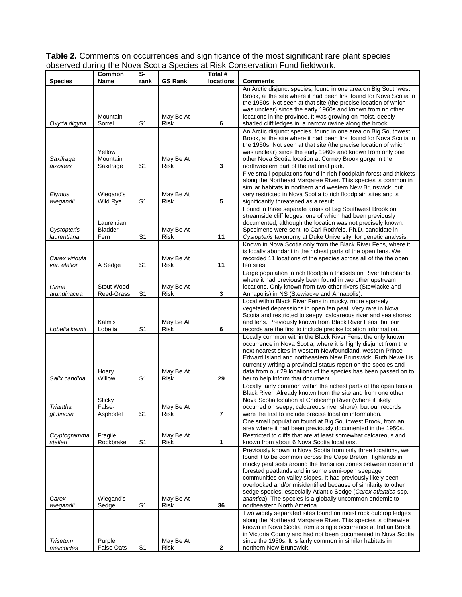**Table 2.** Comments on occurrences and significance of the most significant rare plant species observed during the Nova Scotia Species at Risk Conservation Fund fieldwork.

|                | Common                | <b>S-</b>      |                | Total #      |                                                                                                                                       |
|----------------|-----------------------|----------------|----------------|--------------|---------------------------------------------------------------------------------------------------------------------------------------|
| <b>Species</b> | <b>Name</b>           | rank           | <b>GS Rank</b> | locations    | <b>Comments</b>                                                                                                                       |
|                |                       |                |                |              | An Arctic disjunct species, found in one area on Big Southwest<br>Brook, at the site where it had been first found for Nova Scotia in |
|                |                       |                |                |              | the 1950s. Not seen at that site (the precise location of which                                                                       |
|                |                       |                |                |              | was unclear) since the early 1960s and known from no other                                                                            |
|                | Mountain              |                | May Be At      |              | locations in the province. It was growing on moist, deeply                                                                            |
| Oxyria digyna  | Sorrel                | S <sub>1</sub> | Risk           | 6            | shaded cliff ledges in a narrow ravine along the brook.                                                                               |
|                |                       |                |                |              | An Arctic disjunct species, found in one area on Big Southwest                                                                        |
|                |                       |                |                |              | Brook, at the site where it had been first found for Nova Scotia in                                                                   |
|                | Yellow                |                |                |              | the 1950s. Not seen at that site (the precise location of which<br>was unclear) since the early 1960s and known from only one         |
| Saxifraga      | Mountain              |                | May Be At      |              | other Nova Scotia location at Corney Brook gorge in the                                                                               |
| aizoides       | Saxifrage             | S <sub>1</sub> | Risk           | 3            | northwestern part of the national park.                                                                                               |
|                |                       |                |                |              | Five small populations found in rich floodplain forest and thickets                                                                   |
|                |                       |                |                |              | along the Northeast Margaree River. This species is common in                                                                         |
|                |                       |                |                |              | similar habitats in northern and western New Brunswick, but                                                                           |
| Elymus         | Wiegand's<br>Wild Rye | S <sub>1</sub> | May Be At      | 5            | very restricted in Nova Scotia to rich floodplain sites and is                                                                        |
| wiegandii      |                       |                | Risk           |              | significantly threatened as a result.<br>Found in three separate areas of Big Southwest Brook on                                      |
|                |                       |                |                |              | streamside cliff ledges, one of which had been previously                                                                             |
|                | Laurentian            |                |                |              | documented, although the location was not precisely known.                                                                            |
| Cystopteris    | <b>Bladder</b>        |                | May Be At      |              | Specimens were sent to Carl Rothfels, Ph.D. candidate in                                                                              |
| laurentiana    | Fern                  | S <sub>1</sub> | Risk           | 11           | Cystopteris taxonomy at Duke University, for genetic analysis.                                                                        |
|                |                       |                |                |              | Known in Nova Scotia only from the Black River Fens, where it                                                                         |
|                |                       |                |                |              | is locally abundant in the richest parts of the open fens. We                                                                         |
| Carex viridula |                       |                | May Be At      |              | recorded 11 locations of the species across all of the the open                                                                       |
| var. elatior   | A Sedge               | S <sub>1</sub> | Risk           | 11           | fen sites.                                                                                                                            |
|                |                       |                |                |              | Large population in rich floodplain thickets on River Inhabitants,<br>where it had previously been found in two other upstream        |
| Cinna          | Stout Wood            |                | May Be At      |              | locations. Only known from two other rivers (Stewiacke and                                                                            |
| arundinacea    | Reed-Grass            | S <sub>1</sub> | Risk           | 3            | Annapolis) in NS (Stewiacke and Annapolis).                                                                                           |
|                |                       |                |                |              | Local within Black River Fens in mucky, more sparsely                                                                                 |
|                |                       |                |                |              | vegetated depressions in open fen peat. Very rare in Nova                                                                             |
|                |                       |                |                |              | Scotia and restricted to seepy, calcareous river and sea shores                                                                       |
|                | Kalm's                |                | May Be At      |              | and fens. Previously known from Black River Fens, but our                                                                             |
| Lobelia kalmii | Lobelia               | S <sub>1</sub> | Risk           | 6            | records are the first to include precise location information.                                                                        |
|                |                       |                |                |              | Locally common within the Black River Fens, the only known<br>occurrence in Nova Scotia, where it is highly disjunct from the         |
|                |                       |                |                |              | next nearest sites in western Newfoundland, western Prince                                                                            |
|                |                       |                |                |              | Edward Island and northeastern New Brunswick. Ruth Newell is                                                                          |
|                |                       |                |                |              | currently writing a provincial status report on the species and                                                                       |
|                | Hoary                 |                | May Be At      |              | data from our 29 locations of the species has been passed on to                                                                       |
| Salix candida  | Willow                | S <sub>1</sub> | Risk           | 29           | her to help inform that document.                                                                                                     |
|                |                       |                |                |              | Locally fairly common within the richest parts of the open fens at                                                                    |
|                | Sticky                |                |                |              | Black River. Already known from the site and from one other<br>Nova Scotia location at Cheticamp River (where it likely               |
| Triantha       | False-                |                | May Be At      |              | occurred on seepy, calcareous river shore), but our records                                                                           |
| glutinosa      | Asphodel              | S <sub>1</sub> | <b>Risk</b>    | 7            | were the first to include precise location information.                                                                               |
|                |                       |                |                |              | One small population found at Big Southwest Brook, from an                                                                            |
|                |                       |                |                |              | area where it had been previously documented in the 1950s.                                                                            |
| Cryptogramma   | Fragile               |                | May Be At      |              | Restricted to cliffs that are at least somewhat calcareous and                                                                        |
| stelleri       | Rockbrake             | S <sub>1</sub> | Risk           | 1            | known from about 6 Nova Scotia locations.                                                                                             |
|                |                       |                |                |              | Previously known in Nova Scotia from only three locations, we                                                                         |
|                |                       |                |                |              | found it to be common across the Cape Breton Highlands in<br>mucky peat soils around the transition zones between open and            |
|                |                       |                |                |              | forested peatlands and in some semi-open seepage                                                                                      |
|                |                       |                |                |              | communities on valley slopes. It had previously likely been                                                                           |
|                |                       |                |                |              | overlooked and/or misidentified because of similarity to other                                                                        |
|                |                       |                |                |              | sedge species, especially Atlantic Sedge (Carex atlantica ssp.                                                                        |
| Carex          | Wiegand's             |                | May Be At      |              | atlantica). The species is a globally uncommon endemic to                                                                             |
| wiegandii      | Sedge                 | S <sub>1</sub> | Risk           | 36           | northeastern North America.                                                                                                           |
|                |                       |                |                |              | Two widely separated sites found on moist rock outcrop ledges                                                                         |
|                |                       |                |                |              | along the Northeast Margaree River. This species is otherwise<br>known in Nova Scotia from a single occurrence at Indian Brook        |
|                |                       |                |                |              | in Victoria County and had not been documented in Nova Scotia                                                                         |
| Trisetum       | Purple                |                | May Be At      |              | since the 1950s. It is fairly common in similar habitats in                                                                           |
| melicoides     | <b>False Oats</b>     | S <sub>1</sub> | Risk           | $\mathbf{2}$ | northern New Brunswick.                                                                                                               |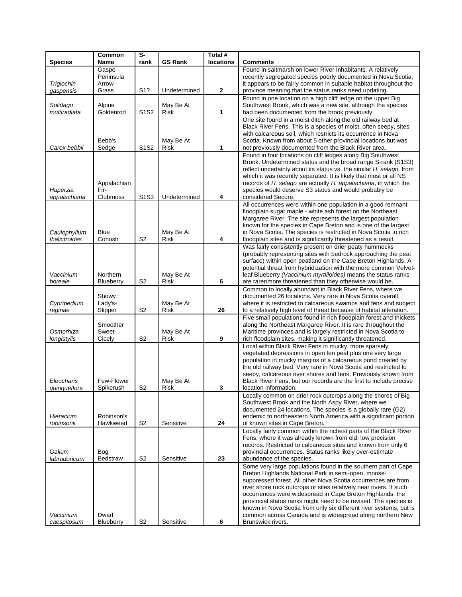| <b>Species</b>           | Common<br>Name   | S-<br>rank                    | GS Rank           | Total #<br>locations | <b>Comments</b>                                                                                                                   |
|--------------------------|------------------|-------------------------------|-------------------|----------------------|-----------------------------------------------------------------------------------------------------------------------------------|
|                          | Gaspe            |                               |                   |                      | Found in saltmarsh on lower River Inhabitants. A relatively                                                                       |
|                          | Peninsula        |                               |                   |                      | recently segregated species poorly documented in Nova Scotia,                                                                     |
| Triglochin               | Arrow-           |                               |                   |                      | it appears to be fairly common in suitable habitat throughout the                                                                 |
| gaspensis                | Grass            | S <sub>1</sub> ?              | Undetermined      | 2                    | province meaning that the status ranks need updating.                                                                             |
|                          |                  |                               |                   |                      | Found in one location on a high cliff ledge on the upper Big                                                                      |
| Solidago                 | Alpine           |                               | May Be At         |                      | Southwest Brook, which was a new site, although the species                                                                       |
| multiradiata             | Goldenrod        | S <sub>1</sub> S <sub>2</sub> | Risk              | 1                    | had been documented from the brook previously.                                                                                    |
|                          |                  |                               |                   |                      | One site found in a moist ditch along the old railway bed at                                                                      |
|                          |                  |                               |                   |                      | Black River Fens. This is a species of moist, often seepy, sites<br>with calcareous soil, which restricts its occurrence in Nova  |
|                          | Bebb's           |                               | May Be At         |                      | Scotia. Known from about 5 other provincial locations but was                                                                     |
| Carex bebbii             | Sedge            | S1S2                          | Risk              | 1                    | not previously documented from the Black River area.                                                                              |
|                          |                  |                               |                   |                      | Found in four locations on cliff ledges along Big Southwest                                                                       |
|                          |                  |                               |                   |                      | Brook. Undetermined status and the broad range S-rank (S1S3)                                                                      |
|                          |                  |                               |                   |                      | reflect uncertainty about its status vs. the similar H. selago, from                                                              |
|                          |                  |                               |                   |                      | which it was recently separated. It is likely that most or all NS                                                                 |
|                          | Appalachian      |                               |                   |                      | records of H. selago are actually H. appalachiana, in which the                                                                   |
| Huperzia                 | Fir-             |                               |                   |                      | species would deserve S3 status and would probably be                                                                             |
| appalachiana             | Clubmoss         | S <sub>1</sub> S <sub>3</sub> | Undetermined      | 4                    | considered Secure.                                                                                                                |
|                          |                  |                               |                   |                      | All occurrences were within one population in a good remnant<br>floodplain sugar maple - white ash forest on the Northeast        |
|                          |                  |                               |                   |                      | Margaree River. The site represents the largest population                                                                        |
|                          |                  |                               |                   |                      | known for the species in Cape Breton and is one of the largest                                                                    |
| Caulophyllum             | <b>Blue</b>      |                               | May Be At         |                      | in Nova Scotia. The species is restricted in Nova Scotia to rich                                                                  |
| thalictroides            | Cohosh           | S <sub>2</sub>                | Risk              | 4                    | floodplain sites and is significantly threatened as a result.                                                                     |
|                          |                  |                               |                   |                      | Was fairly consistently present on drier peaty hummocks                                                                           |
|                          |                  |                               |                   |                      | (probably representing sites with bedrock approaching the peat                                                                    |
|                          |                  |                               |                   |                      | surface) within open peatland on the Cape Breton Highlands. A<br>potential threat from hybridization with the more common Velvet- |
| Vaccinium                | Northern         |                               | May Be At         |                      | leaf Blueberry (Vaccinium myrtilloides) means the status ranks                                                                    |
| boreale                  | Blueberry        | S <sub>2</sub>                | Risk              | 6                    | are rarer/more threatened than they otherwise would be.                                                                           |
|                          |                  |                               |                   |                      | Common to locally abundant in Black River Fens, where we                                                                          |
|                          | Showy            |                               |                   |                      | documented 26 locations. Very rare in Nova Scotia overall,                                                                        |
| Cypripedium              | Lady's-          |                               | May Be At         |                      | where it is restricted to calcareous swamps and fens and subject                                                                  |
| reginae                  | Slipper          | S <sub>2</sub>                | Risk              | 26                   | to a relatively high level of threat because of habitat alteration.                                                               |
|                          |                  |                               |                   |                      | Five small populations found in rich floodplain forest and thickets                                                               |
|                          | Smoother         |                               |                   |                      | along the Northeast Margaree River. It is rare throughout the                                                                     |
| Osmorhiza<br>longistylis | Sweet-<br>Cicely | S <sub>2</sub>                | May Be At<br>Risk | 9                    | Maritime provinces and is largely restricted in Nova Scotia to                                                                    |
|                          |                  |                               |                   |                      | rich floodplain sites, making it significantly threatened.<br>Local within Black River Fens in mucky, more sparsely               |
|                          |                  |                               |                   |                      | vegetated depressions in open fen peat plus one very large                                                                        |
|                          |                  |                               |                   |                      | population in mucky margins of a calcareous pond created by                                                                       |
|                          |                  |                               |                   |                      | the old railway bed. Very rare in Nova Scotia and restricted to                                                                   |
|                          |                  |                               |                   |                      | seepy, calcareous river shores and fens. Previously known from                                                                    |
| Eleocharis               | Few-Flower       |                               | May Be At         |                      | Black River Fens, but our records are the first to include precise                                                                |
| quinqueflora             | Spikerush        | S <sub>2</sub>                | Risk              | 3                    | location information.                                                                                                             |
|                          |                  |                               |                   |                      | Locally common on drier rock outcrops along the shores of Big<br>Southwest Brook and the North Aspy River, where we               |
|                          |                  |                               |                   |                      | documented 24 locations. The species is a globally rare (G2)                                                                      |
| Hieracium                | Robinson's       |                               |                   |                      | endemic to northeastern North America with a significant portion                                                                  |
| robinsonii               | Hawkweed         | S <sub>2</sub>                | Sensitive         | 24                   | of known sites in Cape Breton.                                                                                                    |
|                          |                  |                               |                   |                      | Locally fairly common within the richest parts of the Black River                                                                 |
|                          |                  |                               |                   |                      | Fens, where it was already known from old, low precision                                                                          |
|                          |                  |                               |                   |                      | records. Restricted to calcareous sites and known from only 6                                                                     |
| Galium                   | Bog              |                               |                   |                      | provincial occurrences. Status ranks likely over-estimate                                                                         |
| labradoricum             | <b>Bedstraw</b>  | S <sub>2</sub>                | Sensitive         | 23                   | abundance of the species.                                                                                                         |
|                          |                  |                               |                   |                      | Some very large populations found in the southern part of Cape<br>Breton Highlands National Park in semi-open, moose-             |
|                          |                  |                               |                   |                      | suppressed forest. All other Nova Scotia occurrences are from                                                                     |
|                          |                  |                               |                   |                      | river shore rock outcrops or sites relatively near rivers. If such                                                                |
|                          |                  |                               |                   |                      | occurrences were widespread in Cape Breton Highlands, the                                                                         |
|                          |                  |                               |                   |                      | provincial status ranks might need to be revised. The species is                                                                  |
|                          |                  |                               |                   |                      | known in Nova Scotia from only six different river systems, but is                                                                |
| Vaccinium                | Dwarf            |                               |                   |                      | common across Canada and is widespread along northern New                                                                         |
| caespitosum              | <b>Blueberry</b> | S <sub>2</sub>                | Sensitive         | 6                    | Brunswick rivers.                                                                                                                 |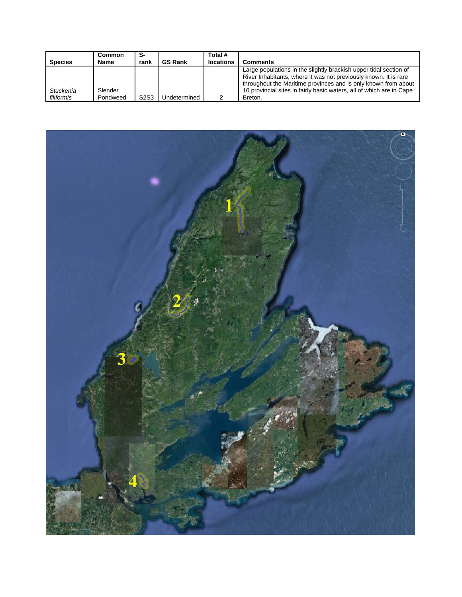|                | Common      | S-                            |                | Total #          |                                                                      |
|----------------|-------------|-------------------------------|----------------|------------------|----------------------------------------------------------------------|
| <b>Species</b> | <b>Name</b> | rank                          | <b>GS Rank</b> | <b>locations</b> | <b>Comments</b>                                                      |
|                |             |                               |                |                  | Large populations in the slightly brackish upper tidal section of    |
|                |             |                               |                |                  | River Inhabitants, where it was not previously known. It is rare     |
|                |             |                               |                |                  | throughout the Maritime provinces and is only known from about       |
| Stuckenia      | Slender     |                               |                |                  | 10 provincial sites in fairly basic waters, all of which are in Cape |
| filiformis     | Pondweed    | S <sub>2</sub> S <sub>3</sub> | Undetermined   |                  | Breton.                                                              |

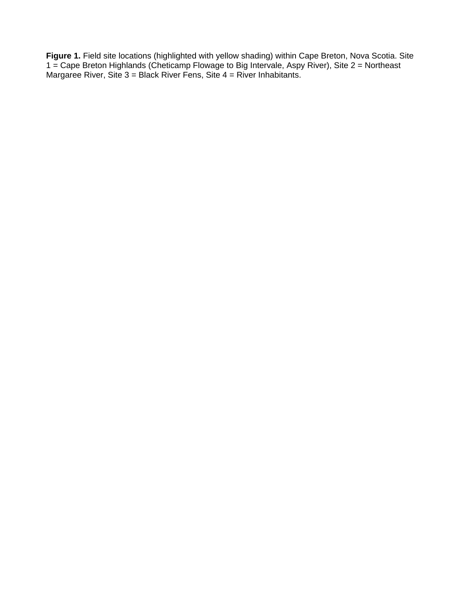**Figure 1.** Field site locations (highlighted with yellow shading) within Cape Breton, Nova Scotia. Site 1 = Cape Breton Highlands (Cheticamp Flowage to Big Intervale, Aspy River), Site 2 = Northeast Margaree River, Site 3 = Black River Fens, Site 4 = River Inhabitants.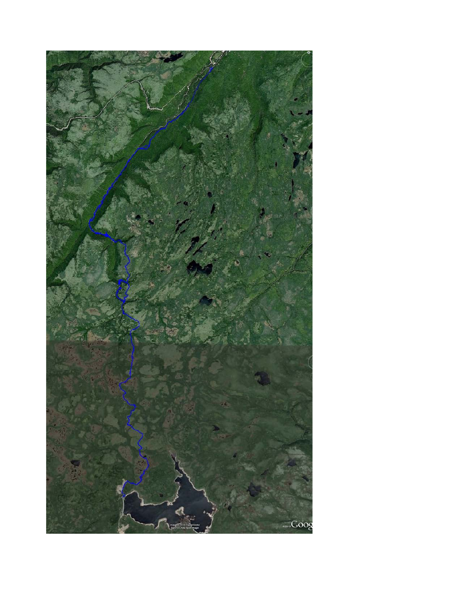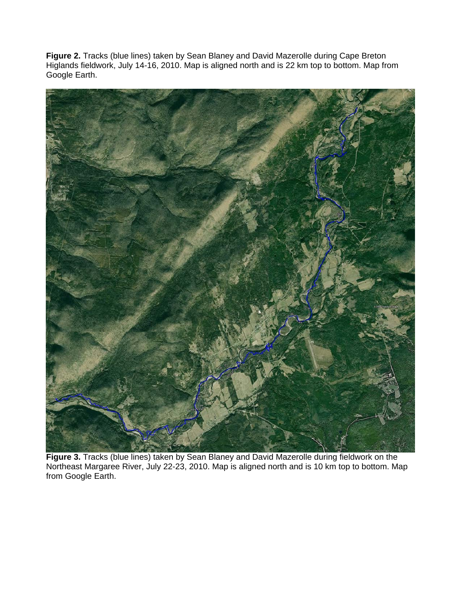**Figure 2.** Tracks (blue lines) taken by Sean Blaney and David Mazerolle during Cape Breton Higlands fieldwork, July 14-16, 2010. Map is aligned north and is 22 km top to bottom. Map from Google Earth.



**Figure 3.** Tracks (blue lines) taken by Sean Blaney and David Mazerolle during fieldwork on the Northeast Margaree River, July 22-23, 2010. Map is aligned north and is 10 km top to bottom. Map from Google Earth.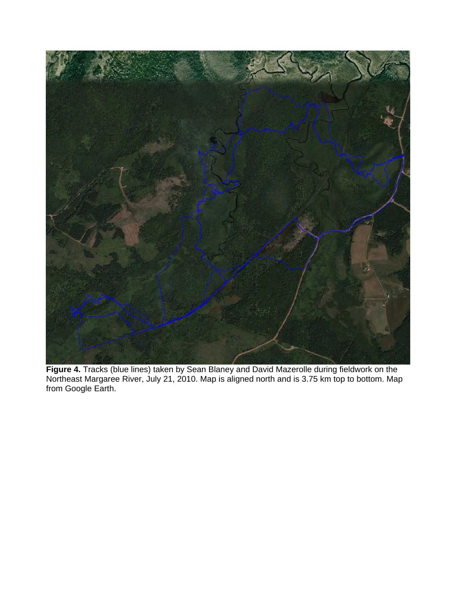

**Figure 4.** Tracks (blue lines) taken by Sean Blaney and David Mazerolle during fieldwork on the Northeast Margaree River, July 21, 2010. Map is aligned north and is 3.75 km top to bottom. Map from Google Earth.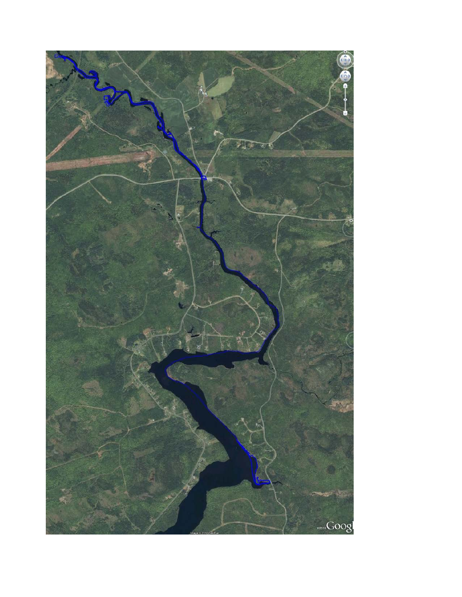